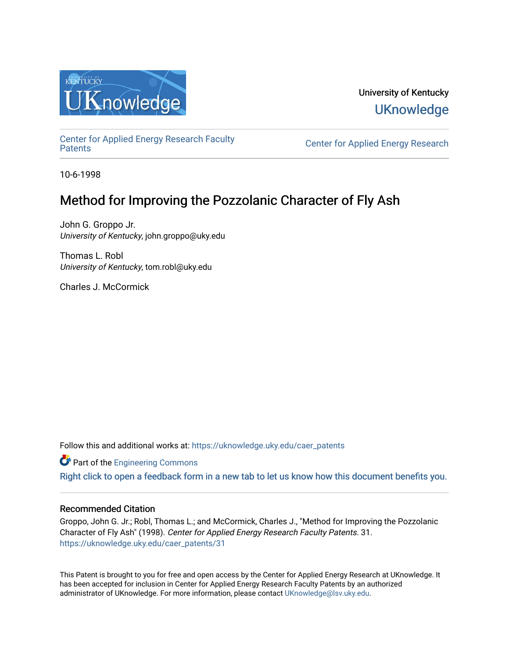

# University of Kentucky **UKnowledge**

[Center for Applied Energy Research Faculty](https://uknowledge.uky.edu/caer_patents)

Center for Applied Energy Research

10-6-1998

# Method for Improving the Pozzolanic Character of Fly Ash

John G. Groppo Jr. University of Kentucky, john.groppo@uky.edu

Thomas L. Robl University of Kentucky, tom.robl@uky.edu

Charles J. McCormick

Follow this and additional works at: [https://uknowledge.uky.edu/caer\\_patents](https://uknowledge.uky.edu/caer_patents?utm_source=uknowledge.uky.edu%2Fcaer_patents%2F31&utm_medium=PDF&utm_campaign=PDFCoverPages) 

**Part of the [Engineering Commons](http://network.bepress.com/hgg/discipline/217?utm_source=uknowledge.uky.edu%2Fcaer_patents%2F31&utm_medium=PDF&utm_campaign=PDFCoverPages)** 

[Right click to open a feedback form in a new tab to let us know how this document benefits you.](https://uky.az1.qualtrics.com/jfe/form/SV_9mq8fx2GnONRfz7)

# Recommended Citation

Groppo, John G. Jr.; Robl, Thomas L.; and McCormick, Charles J., "Method for Improving the Pozzolanic Character of Fly Ash" (1998). Center for Applied Energy Research Faculty Patents. 31. [https://uknowledge.uky.edu/caer\\_patents/31](https://uknowledge.uky.edu/caer_patents/31?utm_source=uknowledge.uky.edu%2Fcaer_patents%2F31&utm_medium=PDF&utm_campaign=PDFCoverPages)

This Patent is brought to you for free and open access by the Center for Applied Energy Research at UKnowledge. It has been accepted for inclusion in Center for Applied Energy Research Faculty Patents by an authorized administrator of UKnowledge. For more information, please contact [UKnowledge@lsv.uky.edu](mailto:UKnowledge@lsv.uky.edu).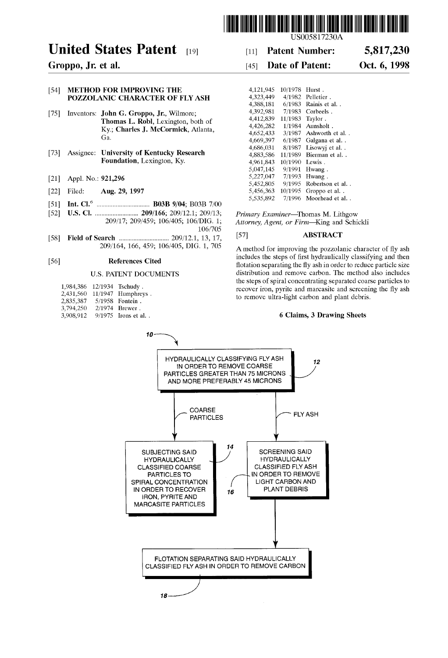

# United States Patent  $_{[19]}$  [11] Patent Number: 5,817,230

## [54] METHOD FOR IMPROVING THE POZZOLANIC CHARACTER OF FLY ASH

- [75] Inventors: John G. Groppo, Jr., Wilmore; Thomas L. Robl, Lexington, both of Ky.; Charles J. McCormick, Atlanta, Ga.
- $[73]$  Assignee: University of Kentucky Research  $[73]$   $4,686,031$   $8/198/$  Lisowyj et al. . Foundation, Lexington, Ky.
- 
- [21] Appl. No.: **921,296**<br>[22] Filed: **Aug. 29, 1997**
- [22] Filed: Aug. 29, 1997 5,456,363 10/1995 Groppo et a1. . 5,535,892 7/1996 Moorhead et a1. . [51] Int. Cl.6 ............................... .. B03B 9/04; B03B 7/00
- 
- 106/705
- [58] Field Of Search ............................. .. 209/121, 13, 17, [57] ABSTRACT

| 1,984,386 | 12/1934 | Tschudy.             |
|-----------|---------|----------------------|
| 2,431,560 |         | $11/1947$ Humphreys. |
| 2,835,387 |         | 5/1958 Fontein.      |
| 3,794,250 |         | 2/1974 Brewer.       |
| 3.908.912 |         | 9/1975 Irons et al   |

US005817230A

# Groppo, Jr. et al. [45] Date of Patent: Oct. 6, 1998

| <b>FOR IMPROVING THE</b>                  | 4,121,945 | 10/1978 Hurst.  |                          |
|-------------------------------------------|-----------|-----------------|--------------------------|
| NIC CHARACTER OF FLY ASH                  | 4,323,449 |                 | $4/1982$ Pelletier.      |
|                                           | 4.388.181 |                 | $6/1983$ Rainis et al.   |
| John G. Groppo, Jr., Wilmore;             | 4.392.981 |                 | $7/1983$ Corbeels.       |
| <b>Thomas L. Robl, Lexington, both of</b> | 4,412,839 | 11/1983 Taylor. |                          |
| Ky.; Charles J. McCormick, Atlanta,       | 4,426,282 |                 | $1/1984$ Aunsholt.       |
|                                           | 4.652.433 |                 | $3/1987$ Ashworth et al  |
| Ga.                                       | 4,669,397 |                 | $6/1987$ Galgana et al   |
|                                           | 4,686,031 |                 | $8/1987$ Lisowyj et al   |
| University of Kentucky Research           | 4,883,586 |                 | 11/1989 Bierman et al. . |
| Foundation, Lexington, Ky.                | 4.961.843 | 10/1990 Lewis.  |                          |
|                                           | 5,047,145 |                 | $9/1991$ Hwang.          |
| 921,296                                   | 5,227,047 |                 | $7/1993$ Hwang.          |
|                                           | 5,452,805 |                 | 9/1995 Robertson et al   |
| Aug. 29, 1997                             | 5,456,363 |                 | 10/1995 Groppo et al. .  |
|                                           | 5,535,892 |                 | 7/1996 Moorhead et al    |

[52] US. Cl. ......................... .. 209/166; 209/121; 209/13; Primary Exgminer—ThQmas M\_ LithgOW Attorney, Agent, or Firm-King and Schickli

A method for improving the pozzolanic character of fly ash [56] **References Cited** includes the steps of first hydraulically classifying and then<br> **References Cited includes** the seconding the fluxely is reduced and then until then flotation separating the fly ash in order to reduce particle size U.S. PATENT DOCUMENTS distribution and remove carbon. The method also includes the steps of spiral concentrating separated coarse particles to recover iron, pyrite and marcasite and screening the fly ash to remove ultra-light carbon and plant debris.

# 6 Claims, 3 Drawing Sheets

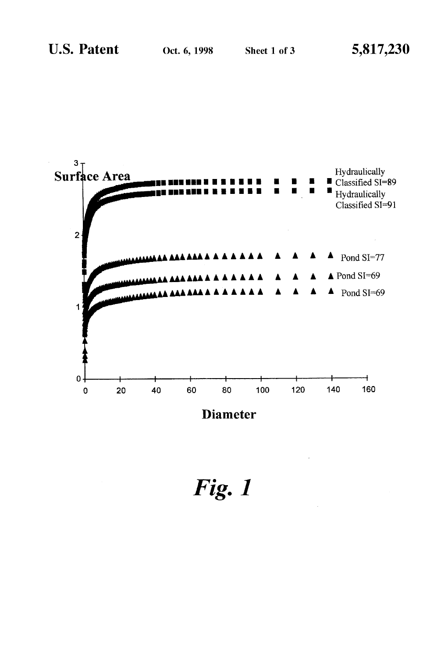

Fig. 1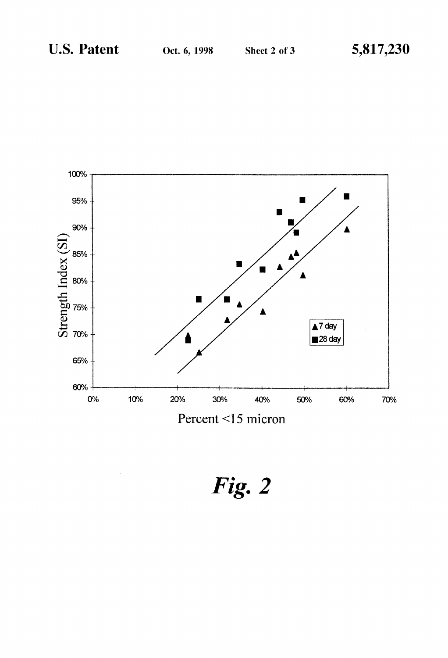

Fig. 2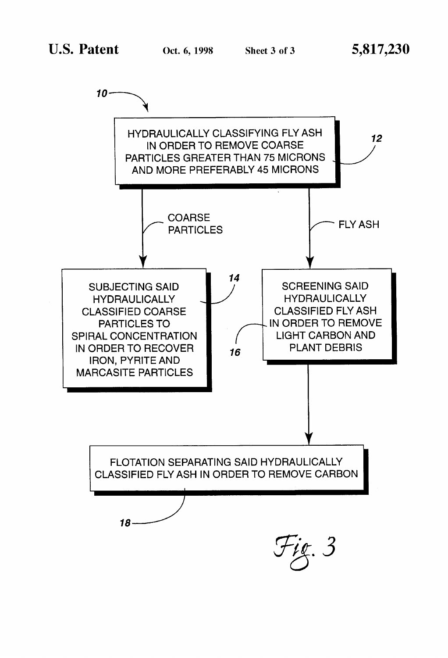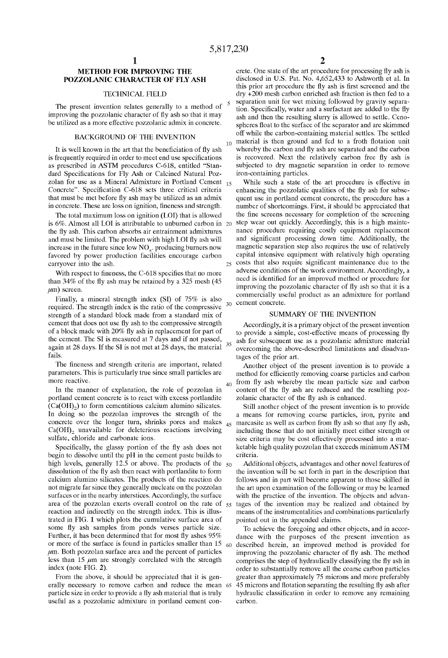25

30

35

40

60

# METHOD FOR IMPROVING THE POZZOLANIC CHARACTER OF FLY ASH

### TECHNICAL FIELD

The present invention relates generally to a method of improving the pozzolanic character of fly ash so that it may be utilized as a more effective pozzolanic admix in concrete.

# BACKGROUND OF THE INVENTION

It is well known in the art that the beneficiation of fly ash is frequently required in order to meet end use specifications as prescribed in ASTM procedures C-618, entitled "Stan dard Specifications for Fly Ash or Calcined Natural Pozzolan for use as a Mineral Admixture in Portland Cement  $_{15}$ Concrete". Specification C-618 sets three critical criteria that must be met before fly ash may be utilized as an admix in concrete. These are loss on ignition, fineness and strength.

The total maximum loss on ignition (LOI) that is allowed is 6%. Almost all LOI is attributable to unburned carbon in 20 the fly ash. This carbon absorbs air entrainment admixtures and must be limited. The problem with high LOI fly ash will increase in the future since low  $NO<sub>x</sub>$ . producing burners now favored by power production facilities encourage carbon carryover into the ash.

With respect to fineness, the C-618 specifies that no more than  $34\%$  of the fly ash may be retained by a  $325$  mesh (45)  $\mu$ m) screen.

Finally, a mineral strength index (SI) of 75% is also required. The strength index is the ratio of the compressive strength of a standard block made from a standard mix of cement that does not use fly ash to the compressive strength of a block made with 20% fly ash in replacement for part of the cement. The SI is measured at 7 days and if not passed, again at 28 days. If the SI is not met at 28 days, the material fails.

The fineness and strength criteria are important, related parameters. This is particularly true since small particles are more reactive.

In the manner of explanation, the role of pozzolan in portland cement concrete is to react With excess portlandite  $(Ca(OH<sub>2</sub>))$  to form cementitious calcium alumino silicates. In doing so the poZZolan improves the strength of the concrete over the longer turn, shrinks pores and makes  $Ca(OH)_{2}$  unavailable for deleterious reactions involving sulfate, chloride and carbonate ions.

Specifically, the glassy portion of the fly ash does not begin to dissolve until the pH in the cement paste builds to high levels, generally 12.5 or above. The products of the  $50$ dissolution of the fly ash then react with portlandite to form calcium alumino silicates. The products of the reaction do not migrate far since they generally nucleate on the pozzolan surfaces or in the nearby interstices. Accordingly, the surface area of the pozzolan exerts overall control on the rate of  $55$ reaction and indirectly on the strength index. This is illus trated in FIG. 1 Which plots the cumulative surface area of some fly ash samples from ponds verses particle size. Further, it has been determined that for most fly ashes  $95%$ or more of the surface is found in particles smaller than 15  $\mu$ m. Both pozzolan surface area and the percent of particles less than  $15 \mu m$  are strongly correlated with the strength index (note FIG. 2).

From the above, it should be appreciated that it is gen erally necessary to remove carbon and reduce the mean 65 particle size in order to provide a fly ash material that is truly useful as a pozzolanic admixture in portland cement con-

 $_{10}$  material is then ground and fed to a froth flotation unit crete. One state of the art procedure for processing fly ash is disclosed in U.S. Pat. No. 4,652,433 to Ashworth et al. In this prior art procedure the fly ash is first screened and the dry +200 mesh carbon enriched ash fraction is then fed to a separation unit for wet mixing followed by gravity separation. Specifically, water and a surfactant are added to the fly ash and then the resulting slurry is allowed to settle. Cenospheres float to the surface of the separator and are skimmed off While the carbon-containing material settles. The settled whereby the carbon and fly ash are separated and the carbon is recovered. Next the relatively carbon free fly ash is subjected to dry magnetic separation in order to remove iron-containing particles.

While such a state of the art procedure is effective in enhancing the pozzolatic qualities of the fly ash for subsequent use in portland cement concrete, the procedure has a number of shortcomings. First, it should be appreciated that the fine screens necessary for completion of the screening step Wear out quickly. Accordingly, this is a high mainte nance procedure requiring costly equipment replacement and significant processing down time. Additionally, the magnetic separation step also requires the use of relatively capital intensive equipment With relatively high operating costs that also require significant maintenance due to the adverse conditions of the Work environment. Accordingly, a need is identified for an improved method or procedure for improving the pozzolanic character of fly ash so that it is a commercially useful product as an admixture for portland cement concrete.

### SUMMARY OF THE INVENTION

Accordingly, it is a primary object of the present invention to provide a simple, cost-effective means of processing fly ash for subsequent use as a pozzolanic admixture material overcoming the above-described limitations and disadvan tages of the prior art.

Another object of the present invention is to provide a method for efficiently removing coarse particles and carbon from fly ash whereby the mean particle size and carbon content of the fly ash are reduced and the resulting pozzolanic character of the fly ash is enhanced.

 $_{45}$  marcasite as well as carbon from fly ash so that any fly ash, Still another object of the present invention is to provide a means for removing coarse particles, iron, pyrite and including those that do not initially meet either strength or size criteria may be cost effectively processed into a marketable high quality pozzolan that exceeds minimum ASTM criteria.

Additional objects, advantages and other novel features of the invention Will be set forth in part in the description that folloWs and in part Will become apparent to those skilled in the art upon examination of the folloWing or may be learned with the practice of the invention. The objects and advantages of the invention may be realized and obtained by means of the instrumentalities and combinations particularly pointed out in the appended claims.

To achieve the foregoing and other objects, and in accor dance With the purposes of the present invention as described herein, an improved method is provided for improving the pozzolanic character of fly ash. The method comprises the step of hydraulically classifying the fly ash in order to substantially remove all the coarse carbon particles greater than approximately 75 microns and more preferably 45 microns and flotation separating the resulting fly ash after hydraulic classification in order to remove any remaining carbon.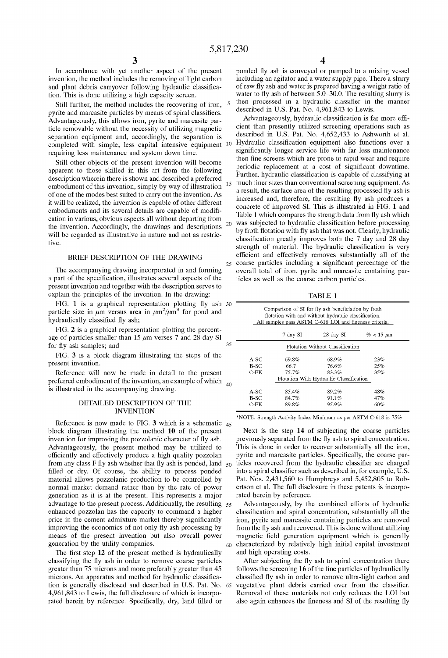15

20

25

35

60

In accordance With yet another aspect of the present invention, the method includes the removing of light carbon and plant debris carryover following hydraulic classification. This is done utilizing a high capacity screen.

Still further, the method includes the recovering of iron, pyrite and marcasite particles by means of spiral classifiers. Advantageously, this allows iron, pyrite and marcasite particle removable Without the necessity of utiliZing magnetic separation equipment and, accordingly, the separation is requiring less maintenance and system doWn time.

Still other objects of the present invention Will become apparent to those skilled in this art from the following description Wherein there is shoWn and described a preferred embodiment of this invention, simply by Way of illustration of one of the modes best suited to carry out the invention. As it will be realized, the invention is capable of other different embodiments and its several details are capable of modification in various, obvious aspects all Without departing from the invention. Accordingly, the draWings and descriptions will be regarded as illustrative in nature and not as restrictive.

## BRIEF DESCRIPTION OF THE DRAWING

The accompanying drawing incorporated in and forming a part of the specification, illustrates several aspects of the present invention and together With the description serves to explain the principles of the invention. In the drawing:

FIG. 1 is a graphical representation plotting fly ash  $30$ particle size in  $\mu$ m versus area in  $\mu$ m<sup>2</sup>/ $\mu$ m<sup>3</sup> for pond and hydraulically classified fly ash;

FIG. 2 is a graphical representation plotting the percent age of particles smaller than 15  $\mu$ m verses 7 and 28 day SI for fly ash samples; and

FIG. 3 is a block diagram illustrating the steps of the present invention.

Reference Will noW be made in detail to the present preferred embodiment of the invention, an example of which  $_{40}$ is illustrated in the accompanying drawing.

# DETAILED DESCRIPTION OF THE INVENTION

Reference is now made to FIG.  $3$  which is a schematic  $_{45}$ block diagram illustrating the method 10 of the present invention for improving the pozzolanic character of fly ash. Advantageously, the present method may be utilized to efficiently and effectively produce a high quality pozzolan from any class F fly ash whether that fly ash is ponded, land  $\zeta_0$ filled or dry. Of course, the ability to process ponded material allows pozzolanic production to be controlled by normal market demand rather than by the rate of power generation as it is at the present. This represents a major advantage to the present process. Additionally, the resulting 55 enhanced pozzolan has the capacity to command a higher price in the cement admixture market thereby significantly improving the economics of not only fly ash processing by means of the present invention but also overall power generation by the utility companies.

The first step  $12$  of the present method is hydraulically classifying the fly ash in order to remove coarse particles greater than 75 microns and more preferably greater than 45 microns. An apparatus and method for hydraulic classification is generally disclosed and described in US. Pat. No. 65 4,961,843 to LeWis, the full disclosure of Which is incorpo rated herein by reference. Specifically, dry, land filled or

ponded fly ash is conveyed or pumped to a mixing vessel including an agitator and a Water supply pipe. There a slurry of raw fly ash and water is prepared having a weight ratio of water to fly ash of between  $5.0-30.0$ . The resulting slurry is then processed in a hydraulic classifier in the manner described in US. Pat. No. 4,961,843 to LeWis.

completed with simple, less capital intensive equipment  $10$  Hydraulic classification equipment also functions over a Advantageously, hydraulic classification is far more efficient than presently utilized screening operations such as described in U.S. Pat. No. 4,652,433 to Ashworth et al. significantly longer service life with far less maintenance then fine screens which are prone to rapid wear and require periodic replacement at a cost of significant downtime. Further, hydraulic classification is capable of classifying at much finer sizes than conventional screening equipment. As a result, the surface area of the resulting processed fly ash is increased and, therefore, the resulting fly ash produces a concrete of improved SI. This is illustrated in FIG. 1 and Table 1 which compares the strength data from fly ash which was subjected to hydraulic classification before processing by froth flotation with fly ash that was not. Clearly, hydraulic classification greatly improves both the 7 day and 28 day strength of material. The hydraulic classification is very efficient and effectively removes substantially all of the coarse particles including a significant percentage of the overall total of iron, pyrite and marcasite containing par ticles as Well as the coarse carbon particles.

TABLE 1

|         |          | Comparison of SI for fly ash beneficiation by froth<br>flotation with and without hydraulic classification.<br>All samples pass ASTM C-618 LOI and fineness criteria. |                |
|---------|----------|-----------------------------------------------------------------------------------------------------------------------------------------------------------------------|----------------|
|         | 7 day SI | 28 day SI                                                                                                                                                             | $% < 15 \mu m$ |
|         |          | Flotation Without Classification                                                                                                                                      |                |
| $A-SC$  | 69.8%    | 68.9%                                                                                                                                                                 | 23%            |
| B-SC    | 66.7     | 76.6%                                                                                                                                                                 | 25%            |
| $C$ -EK | 75.7%    | 83.3%                                                                                                                                                                 | 35%            |
|         |          | Flotation With Hydraulic Classification                                                                                                                               |                |
| $A-SC$  | 85.4%    | 89.2%                                                                                                                                                                 | 48%            |
| B-SC    | 84.7%    | 91.1%                                                                                                                                                                 | 47%            |
| C-EK    | 89.8%    | 95.9%                                                                                                                                                                 | 60%            |

\*NOTE: Strength Activity Index Minimum as per ASTM C-618 is 75%

Next is the step 14 of subjecting the coarse particles previously separated from the fly ash to spiral concentration. This is done in order to recover substantially all the iron, pyrite and marcasite particles. Specifically, the coarse particles recovered from the hydraulic classifier are charged into a spiral classifier such as described in, for example, U.S. Pat. Nos. 2,431,560 to Humphreys and 5,452,805 to Rob ertson et al. The full disclosure in these patents is incorpo rated herein by reference.

Advantageously, by the combined efforts of hydraulic classification and spiral concentration, substantially all the iron, pyrite and marcasite containing particles are removed from the fly ash and recovered. This is done without utilizing magnetic field generation equipment which is generally characterized by relatively high initial capital investment and high operating costs.

After subjecting the fly ash to spiral concentration there follows the screening  $16$  of the fine particles of hydraulically classified fly ash in order to remove ultra-light carbon and vegetative plant debris carried over from the classifier. Removal of these materials not only reduces the LOI but also again enhances the fineness and SI of the resulting fly